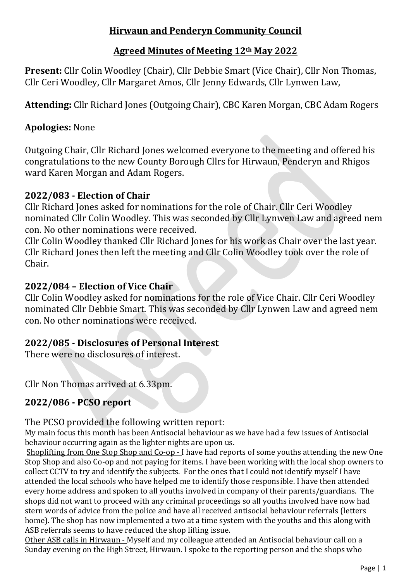# **Hirwaun and Penderyn Community Council**

# **Agreed Minutes of Meeting 12th May 2022**

**Present:** Cllr Colin Woodley (Chair), Cllr Debbie Smart (Vice Chair), Cllr Non Thomas, Cllr Ceri Woodley, Cllr Margaret Amos, Cllr Jenny Edwards, Cllr Lynwen Law,

**Attending:** Cllr Richard Jones (Outgoing Chair), CBC Karen Morgan, CBC Adam Rogers

# **Apologies:** None

Outgoing Chair, Cllr Richard Jones welcomed everyone to the meeting and offered his congratulations to the new County Borough Cllrs for Hirwaun, Penderyn and Rhigos ward Karen Morgan and Adam Rogers.

# **2022/083 - Election of Chair**

Cllr Richard Jones asked for nominations for the role of Chair. Cllr Ceri Woodley nominated Cllr Colin Woodley. This was seconded by Cllr Lynwen Law and agreed nem con. No other nominations were received.

Cllr Colin Woodley thanked Cllr Richard Jones for his work as Chair over the last year. Cllr Richard Jones then left the meeting and Cllr Colin Woodley took over the role of Chair.

# **2022/084 – Election of Vice Chair**

Cllr Colin Woodley asked for nominations for the role of Vice Chair. Cllr Ceri Woodley nominated Cllr Debbie Smart. This was seconded by Cllr Lynwen Law and agreed nem con. No other nominations were received.

# **2022/085 - Disclosures of Personal Interest**

There were no disclosures of interest.

Cllr Non Thomas arrived at 6.33pm.

# **2022/086 - PCSO report**

## The PCSO provided the following written report:

My main focus this month has been Antisocial behaviour as we have had a few issues of Antisocial behaviour occurring again as the lighter nights are upon us.

Shoplifting from One Stop Shop and Co-op - I have had reports of some youths attending the new One Stop Shop and also Co-op and not paying for items. I have been working with the local shop owners to collect CCTV to try and identify the subjects. For the ones that I could not identify myself I have attended the local schools who have helped me to identify those responsible. I have then attended every home address and spoken to all youths involved in company of their parents/guardians. The shops did not want to proceed with any criminal proceedings so all youths involved have now had stern words of advice from the police and have all received antisocial behaviour referrals (letters home). The shop has now implemented a two at a time system with the youths and this along with ASB referrals seems to have reduced the shop lifting issue.

Other ASB calls in Hirwaun - Myself and my colleague attended an Antisocial behaviour call on a Sunday evening on the High Street, Hirwaun. I spoke to the reporting person and the shops who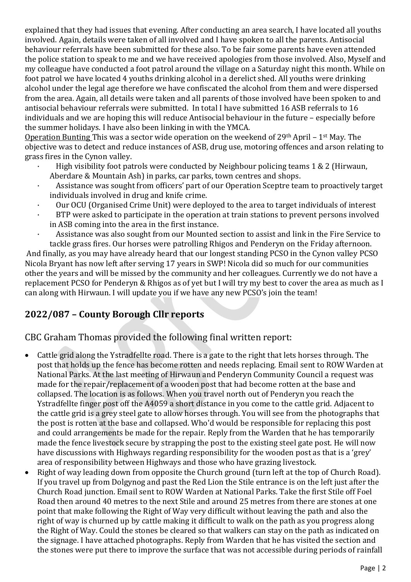explained that they had issues that evening. After conducting an area search, I have located all youths involved. Again, details were taken of all involved and I have spoken to all the parents. Antisocial behaviour referrals have been submitted for these also. To be fair some parents have even attended the police station to speak to me and we have received apologies from those involved. Also, Myself and my colleague have conducted a foot patrol around the village on a Saturday night this month. While on foot patrol we have located 4 youths drinking alcohol in a derelict shed. All youths were drinking alcohol under the legal age therefore we have confiscated the alcohol from them and were dispersed from the area. Again, all details were taken and all parents of those involved have been spoken to and antisocial behaviour referrals were submitted. In total I have submitted 16 ASB referrals to 16 individuals and we are hoping this will reduce Antisocial behaviour in the future – especially before the summer holidays. I have also been linking in with the YMCA.

Operation Bunting This was a sector wide operation on the weekend of 29th April – 1st May. The objective was to detect and reduce instances of ASB, drug use, motoring offences and arson relating to grass fires in the Cynon valley.

- · High visibility foot patrols were conducted by Neighbour policing teams 1 & 2 (Hirwaun, Aberdare & Mountain Ash) in parks, car parks, town centres and shops.
- Assistance was sought from officers' part of our Operation Sceptre team to proactively target individuals involved in drug and knife crime.
- · Our OCU (Organised Crime Unit) were deployed to the area to target individuals of interest
- BTP were asked to participate in the operation at train stations to prevent persons involved in ASB coming into the area in the first instance.
- · Assistance was also sought from our Mounted section to assist and link in the Fire Service to tackle grass fires. Our horses were patrolling Rhigos and Penderyn on the Friday afternoon.

And finally, as you may have already heard that our longest standing PCSO in the Cynon valley PCSO Nicola Bryant has now left after serving 17 years in SWP! Nicola did so much for our communities other the years and will be missed by the community and her colleagues. Currently we do not have a replacement PCSO for Penderyn & Rhigos as of yet but I will try my best to cover the area as much as I can along with Hirwaun. I will update you if we have any new PCSO's join the team!

# **2022/087 – County Borough Cllr reports**

CBC Graham Thomas provided the following final written report:

- Cattle grid along the Ystradfellte road. There is a gate to the right that lets horses through. The post that holds up the fence has become rotten and needs replacing. Email sent to ROW Warden at National Parks. At the last meeting of Hirwaun and Penderyn Community Council a request was made for the repair/replacement of a wooden post that had become rotten at the base and collapsed. The location is as follows. When you travel north out of Penderyn you reach the Ystradfellte finger post off the A4059 a short distance in you come to the cattle grid. Adjacent to the cattle grid is a grey steel gate to allow horses through. You will see from the photographs that the post is rotten at the base and collapsed. Who'd would be responsible for replacing this post and could arrangements be made for the repair. Reply from the Warden that he has temporarily made the fence livestock secure by strapping the post to the existing steel gate post. He will now have discussions with Highways regarding responsibility for the wooden post as that is a 'grey' area of responsibility between Highways and those who have grazing livestock.
- Right of way leading down from opposite the Church ground (turn left at the top of Church Road). If you travel up from Dolgynog and past the Red Lion the Stile entrance is on the left just after the Church Road junction. Email sent to ROW Warden at National Parks. Take the first Stile off Foel Road then around 40 metres to the next Stile and around 25 metres from there are stones at one point that make following the Right of Way very difficult without leaving the path and also the right of way is churned up by cattle making it difficult to walk on the path as you progress along the Right of Way. Could the stones be cleared so that walkers can stay on the path as indicated on the signage. I have attached photographs. Reply from Warden that he has visited the section and the stones were put there to improve the surface that was not accessible during periods of rainfall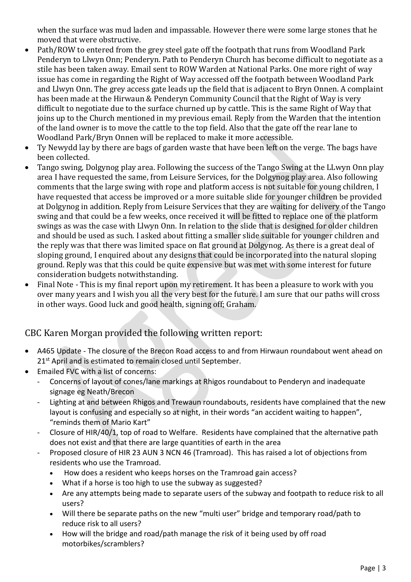when the surface was mud laden and impassable. However there were some large stones that he moved that were obstructive.

- Path/ROW to entered from the grey steel gate off the footpath that runs from Woodland Park Penderyn to Llwyn Onn; Penderyn. Path to Penderyn Church has become difficult to negotiate as a stile has been taken away. Email sent to ROW Warden at National Parks. One more right of way issue has come in regarding the Right of Way accessed off the footpath between Woodland Park and Llwyn Onn. The grey access gate leads up the field that is adjacent to Bryn Onnen. A complaint has been made at the Hirwaun & Penderyn Community Council that the Right of Way is very difficult to negotiate due to the surface churned up by cattle. This is the same Right of Way that joins up to the Church mentioned in my previous email. Reply from the Warden that the intention of the land owner is to move the cattle to the top field. Also that the gate off the rear lane to Woodland Park/Bryn Onnen will be replaced to make it more accessible.
- Ty Newydd lay by there are bags of garden waste that have been left on the verge. The bags have been collected.
- Tango swing, Dolgynog play area. Following the success of the Tango Swing at the LLwyn Onn play area I have requested the same, from Leisure Services, for the Dolgynog play area. Also following comments that the large swing with rope and platform access is not suitable for young children, I have requested that access be improved or a more suitable slide for younger children be provided at Dolgynog in addition. Reply from Leisure Services that they are waiting for delivery of the Tango swing and that could be a few weeks, once received it will be fitted to replace one of the platform swings as was the case with Llwyn Onn. In relation to the slide that is designed for older children and should be used as such. I asked about fitting a smaller slide suitable for younger children and the reply was that there was limited space on flat ground at Dolgynog. As there is a great deal of sloping ground, I enquired about any designs that could be incorporated into the natural sloping ground. Reply was that this could be quite expensive but was met with some interest for future consideration budgets notwithstanding.
- Final Note This is my final report upon my retirement. It has been a pleasure to work with you over many years and I wish you all the very best for the future. I am sure that our paths will cross in other ways. Good luck and good health, signing off; Graham.

#### CBC Karen Morgan provided the following written report:

- A465 Update The closure of the Brecon Road access to and from Hirwaun roundabout went ahead on 21<sup>st</sup> April and is estimated to remain closed until September.
- Emailed FVC with a list of concerns:
	- Concerns of layout of cones/lane markings at Rhigos roundabout to Penderyn and inadequate signage eg Neath/Brecon
	- Lighting at and between Rhigos and Trewaun roundabouts, residents have complained that the new layout is confusing and especially so at night, in their words "an accident waiting to happen", "reminds them of Mario Kart"
	- Closure of HIR/40/1, top of road to Welfare. Residents have complained that the alternative path does not exist and that there are large quantities of earth in the area
	- Proposed closure of HIR 23 AUN 3 NCN 46 (Tramroad). This has raised a lot of objections from residents who use the Tramroad.
		- How does a resident who keeps horses on the Tramroad gain access?
		- What if a horse is too high to use the subway as suggested?
		- Are any attempts being made to separate users of the subway and footpath to reduce risk to all users?
		- Will there be separate paths on the new "multi user" bridge and temporary road/path to reduce risk to all users?
		- How will the bridge and road/path manage the risk of it being used by off road motorbikes/scramblers?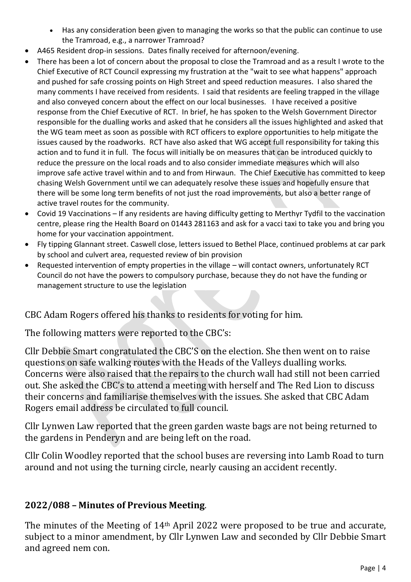- Has any consideration been given to managing the works so that the public can continue to use the Tramroad, e.g., a narrower Tramroad?
- A465 Resident drop-in sessions. Dates finally received for afternoon/evening.
- There has been a lot of concern about the proposal to close the Tramroad and as a result I wrote to the Chief Executive of RCT Council expressing my frustration at the "wait to see what happens" approach and pushed for safe crossing points on High Street and speed reduction measures. I also shared the many comments I have received from residents. I said that residents are feeling trapped in the village and also conveyed concern about the effect on our local businesses. I have received a positive response from the Chief Executive of RCT. In brief, he has spoken to the Welsh Government Director responsible for the dualling works and asked that he considers all the issues highlighted and asked that the WG team meet as soon as possible with RCT officers to explore opportunities to help mitigate the issues caused by the roadworks. RCT have also asked that WG accept full responsibility for taking this action and to fund it in full. The focus will initially be on measures that can be introduced quickly to reduce the pressure on the local roads and to also consider immediate measures which will also improve safe active travel within and to and from Hirwaun. The Chief Executive has committed to keep chasing Welsh Government until we can adequately resolve these issues and hopefully ensure that there will be some long term benefits of not just the road improvements, but also a better range of active travel routes for the community.
- Covid 19 Vaccinations If any residents are having difficulty getting to Merthyr Tydfil to the vaccination centre, please ring the Health Board on 01443 281163 and ask for a vacci taxi to take you and bring you home for your vaccination appointment.
- Fly tipping Glannant street. Caswell close, letters issued to Bethel Place, continued problems at car park by school and culvert area, requested review of bin provision
- Requested intervention of empty properties in the village will contact owners, unfortunately RCT Council do not have the powers to compulsory purchase, because they do not have the funding or management structure to use the legislation

CBC Adam Rogers offered his thanks to residents for voting for him.

The following matters were reported to the CBC's:

Cllr Debbie Smart congratulated the CBC'S on the election. She then went on to raise questions on safe walking routes with the Heads of the Valleys dualling works. Concerns were also raised that the repairs to the church wall had still not been carried out. She asked the CBC's to attend a meeting with herself and The Red Lion to discuss their concerns and familiarise themselves with the issues. She asked that CBC Adam Rogers email address be circulated to full council.

Cllr Lynwen Law reported that the green garden waste bags are not being returned to the gardens in Penderyn and are being left on the road.

Cllr Colin Woodley reported that the school buses are reversing into Lamb Road to turn around and not using the turning circle, nearly causing an accident recently.

# **2022/088 – Minutes of Previous Meeting**.

The minutes of the Meeting of 14<sup>th</sup> April 2022 were proposed to be true and accurate, subject to a minor amendment, by Cllr Lynwen Law and seconded by Cllr Debbie Smart and agreed nem con.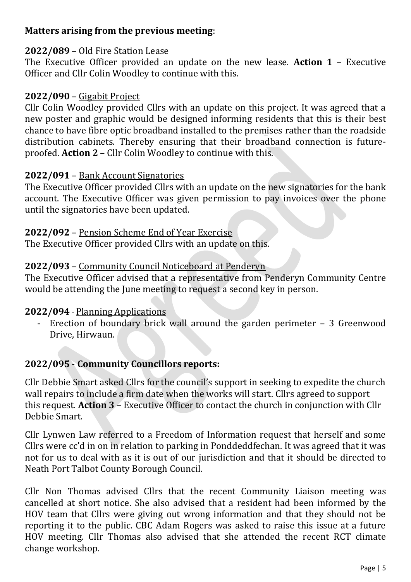# **Matters arising from the previous meeting**:

## **2022/089** – Old Fire Station Lease

The Executive Officer provided an update on the new lease. **Action 1** – Executive Officer and Cllr Colin Woodley to continue with this.

### **2022/090** – Gigabit Project

Cllr Colin Woodley provided Cllrs with an update on this project. It was agreed that a new poster and graphic would be designed informing residents that this is their best chance to have fibre optic broadband installed to the premises rather than the roadside distribution cabinets. Thereby ensuring that their broadband connection is futureproofed. **Action 2** – Cllr Colin Woodley to continue with this.

#### **2022/091** – Bank Account Signatories

The Executive Officer provided Cllrs with an update on the new signatories for the bank account. The Executive Officer was given permission to pay invoices over the phone until the signatories have been updated.

#### **2022/092** – Pension Scheme End of Year Exercise

The Executive Officer provided Cllrs with an update on this.

## **2022/093** – Community Council Noticeboard at Penderyn

The Executive Officer advised that a representative from Penderyn Community Centre would be attending the June meeting to request a second key in person.

## **2022/094** - Planning Applications

Erection of boundary brick wall around the garden perimeter  $-3$  Greenwood Drive, Hirwaun.

## **2022/095** - **Community Councillors reports:**

Cllr Debbie Smart asked Cllrs for the council's support in seeking to expedite the church wall repairs to include a firm date when the works will start. Cllrs agreed to support this request. **Action 3** – Executive Officer to contact the church in conjunction with Cllr Debbie Smart.

Cllr Lynwen Law referred to a Freedom of Information request that herself and some Cllrs were cc'd in on in relation to parking in Ponddeddfechan. It was agreed that it was not for us to deal with as it is out of our jurisdiction and that it should be directed to Neath Port Talbot County Borough Council.

Cllr Non Thomas advised Cllrs that the recent Community Liaison meeting was cancelled at short notice. She also advised that a resident had been informed by the HOV team that Cllrs were giving out wrong information and that they should not be reporting it to the public. CBC Adam Rogers was asked to raise this issue at a future HOV meeting. Cllr Thomas also advised that she attended the recent RCT climate change workshop.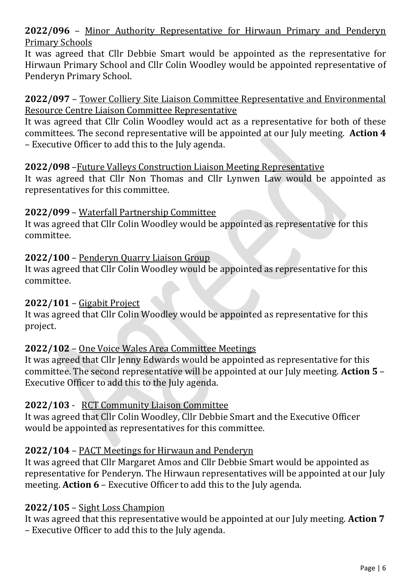## **2022/096** – Minor Authority Representative for Hirwaun Primary and Penderyn Primary Schools

It was agreed that Cllr Debbie Smart would be appointed as the representative for Hirwaun Primary School and Cllr Colin Woodley would be appointed representative of Penderyn Primary School.

#### **2022/097** – Tower Colliery Site Liaison Committee Representative and Environmental Resource Centre Liaison Committee Representative

It was agreed that Cllr Colin Woodley would act as a representative for both of these committees. The second representative will be appointed at our July meeting. **Action 4** – Executive Officer to add this to the July agenda.

## **2022/098** –Future Valleys Construction Liaison Meeting Representative

It was agreed that Cllr Non Thomas and Cllr Lynwen Law would be appointed as representatives for this committee.

## **2022/099** – Waterfall Partnership Committee

It was agreed that Cllr Colin Woodley would be appointed as representative for this committee.

## **2022/100** – Penderyn Quarry Liaison Group

It was agreed that Cllr Colin Woodley would be appointed as representative for this committee.

## **2022/101** – Gigabit Project

It was agreed that Cllr Colin Woodley would be appointed as representative for this project.

# **2022/102** – One Voice Wales Area Committee Meetings

It was agreed that Cllr Jenny Edwards would be appointed as representative for this committee. The second representative will be appointed at our July meeting. **Action 5** – Executive Officer to add this to the July agenda.

# **2022/103** - RCT Community Liaison Committee

It was agreed that Cllr Colin Woodley, Cllr Debbie Smart and the Executive Officer would be appointed as representatives for this committee.

# **2022/104** – PACT Meetings for Hirwaun and Penderyn

It was agreed that Cllr Margaret Amos and Cllr Debbie Smart would be appointed as representative for Penderyn. The Hirwaun representatives will be appointed at our July meeting. **Action 6** – Executive Officer to add this to the July agenda.

# **2022/105** – Sight Loss Champion

It was agreed that this representative would be appointed at our July meeting. **Action 7** – Executive Officer to add this to the July agenda.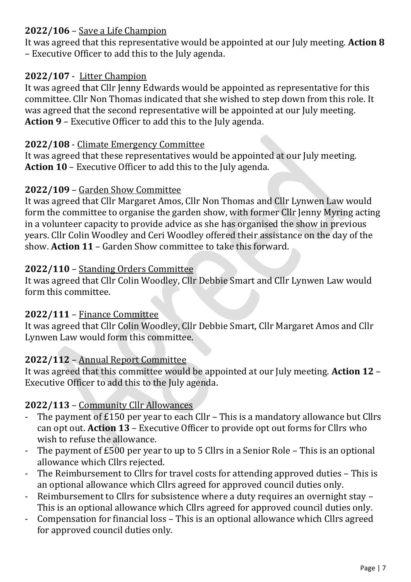# **2022/106** – Save a Life Champion

It was agreed that this representative would be appointed at our July meeting. **Action 8** – Executive Officer to add this to the July agenda.

# **2022/107** - Litter Champion

It was agreed that Cllr Jenny Edwards would be appointed as representative for this committee. Cllr Non Thomas indicated that she wished to step down from this role. It was agreed that the second representative will be appointed at our July meeting. **Action 9** – Executive Officer to add this to the July agenda.

## **2022/108** - Climate Emergency Committee

It was agreed that these representatives would be appointed at our July meeting. **Action 10** – Executive Officer to add this to the July agenda.

## **2022/109** – Garden Show Committee

It was agreed that Cllr Margaret Amos, Cllr Non Thomas and Cllr Lynwen Law would form the committee to organise the garden show, with former Cllr Jenny Myring acting in a volunteer capacity to provide advice as she has organised the show in previous years. Cllr Colin Woodley and Ceri Woodley offered their assistance on the day of the show. **Action 11** – Garden Show committee to take this forward.

## **2022/110** – Standing Orders Committee

It was agreed that Cllr Colin Woodley, Cllr Debbie Smart and Cllr Lynwen Law would form this committee.

## **2022/111** – Finance Committee

It was agreed that Cllr Colin Woodley, Cllr Debbie Smart, Cllr Margaret Amos and Cllr Lynwen Law would form this committee.

# **2022/112** – Annual Report Committee

It was agreed that this committee would be appointed at our July meeting. **Action 12** – Executive Officer to add this to the July agenda.

# **2022/113** – Community Cllr Allowances

- The payment of £150 per year to each Cllr This is a mandatory allowance but Cllrs can opt out. **Action 13** – Executive Officer to provide opt out forms for Cllrs who wish to refuse the allowance.
- The payment of £500 per year to up to 5 Cllrs in a Senior Role This is an optional allowance which Cllrs rejected.
- The Reimbursement to Cllrs for travel costs for attending approved duties This is an optional allowance which Cllrs agreed for approved council duties only.
- Reimbursement to Cllrs for subsistence where a duty requires an overnight stay This is an optional allowance which Cllrs agreed for approved council duties only.
- Compensation for financial loss This is an optional allowance which Cllrs agreed for approved council duties only.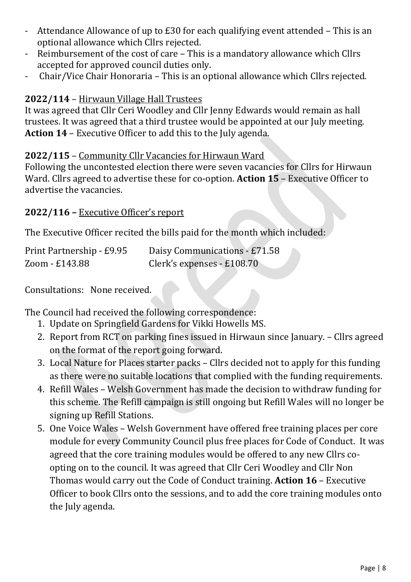- Attendance Allowance of up to  $E30$  for each qualifying event attended This is an optional allowance which Cllrs rejected.
- Reimbursement of the cost of care This is a mandatory allowance which Cllrs accepted for approved council duties only.
- Chair/Vice Chair Honoraria This is an optional allowance which Cllrs rejected.

# **2022/114** – Hirwaun Village Hall Trustees

It was agreed that Cllr Ceri Woodley and Cllr Jenny Edwards would remain as hall trustees. It was agreed that a third trustee would be appointed at our July meeting. **Action 14** – Executive Officer to add this to the July agenda.

# **2022/115** – Community Cllr Vacancies for Hirwaun Ward

Following the uncontested election there were seven vacancies for Cllrs for Hirwaun Ward. Cllrs agreed to advertise these for co-option. **Action 15** – Executive Officer to advertise the vacancies.

# **2022/116 –** Executive Officer's report

The Executive Officer recited the bills paid for the month which included:

| Print Partnership - £9.95 | Daisy Communications - £71.58 |
|---------------------------|-------------------------------|
| Zoom - £143.88            | Clerk's expenses - £108.70    |

Consultations: None received.

The Council had received the following correspondence:

- 1. Update on Springfield Gardens for Vikki Howells MS.
- 2. Report from RCT on parking fines issued in Hirwaun since January. Cllrs agreed on the format of the report going forward.
- 3. Local Nature for Places starter packs Cllrs decided not to apply for this funding as there were no suitable locations that complied with the funding requirements.
- 4. Refill Wales Welsh Government has made the decision to withdraw funding for this scheme. The Refill campaign is still ongoing but Refill Wales will no longer be signing up Refill Stations.
- 5. One Voice Wales Welsh Government have offered free training places per core module for every Community Council plus free places for Code of Conduct. It was agreed that the core training modules would be offered to any new Cllrs coopting on to the council. It was agreed that Cllr Ceri Woodley and Cllr Non Thomas would carry out the Code of Conduct training. **Action 16** – Executive Officer to book Cllrs onto the sessions, and to add the core training modules onto the July agenda.